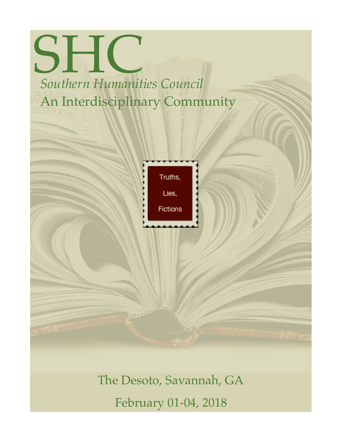## **SHIC** *Southern Humanities Council* An Interdisciplinary Community

| Truths,  |
|----------|
| Lies,    |
| Fictions |
|          |

The Desoto, Savannah, GA February 01-04, 2018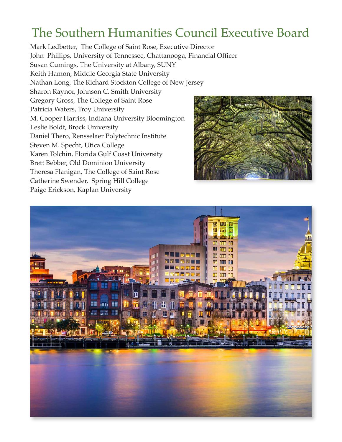## The Southern Humanities Council Executive Board

Mark Ledbetter, The College of Saint Rose, Executive Director John Phillips, University of Tennessee, Chattanooga, Financial Officer Susan Cumings, The University at Albany, SUNY Keith Hamon, Middle Georgia State University Nathan Long, The Richard Stockton College of New Jersey Sharon Raynor, Johnson C. Smith University Gregory Gross, The College of Saint Rose Patricia Waters, Troy University M. Cooper Harriss, Indiana University Bloomington Leslie Boldt, Brock University Daniel Thero, Rensselaer Polytechnic Institute Steven M. Specht, Utica College Karen Tolchin, Florida Gulf Coast University Brett Bebber, Old Dominion University Theresa Flanigan, The College of Saint Rose Catherine Swender, Spring Hill College Paige Erickson, Kaplan University



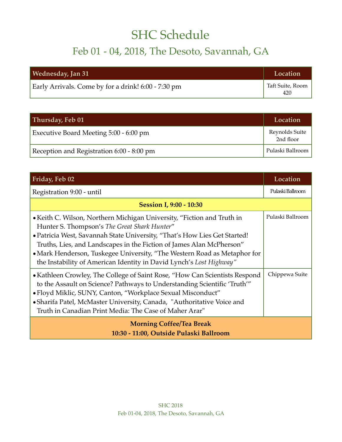## SHC Schedule

## Feb 01 - 04, 2018, The Desoto, Savannah, GA

| Wednesday, Jan 31                                   | Location                |
|-----------------------------------------------------|-------------------------|
| Early Arrivals. Come by for a drink! 6:00 - 7:30 pm | Taft Suite, Room<br>420 |

| Thursday, Feb 01                          | Location                    |
|-------------------------------------------|-----------------------------|
| Executive Board Meeting 5:00 - 6:00 pm    | Reynolds Suite<br>2nd floor |
| Reception and Registration 6:00 - 8:00 pm | Pulaski Ballroom            |

| Friday, Feb 02                                                                                                                                                                                                                                                                                                                                                                                                                 | Location         |  |
|--------------------------------------------------------------------------------------------------------------------------------------------------------------------------------------------------------------------------------------------------------------------------------------------------------------------------------------------------------------------------------------------------------------------------------|------------------|--|
| Registration 9:00 - until                                                                                                                                                                                                                                                                                                                                                                                                      | Pulaski Ballroom |  |
| <b>Session I, 9:00 - 10:30</b>                                                                                                                                                                                                                                                                                                                                                                                                 |                  |  |
| • Keith C. Wilson, Northern Michigan University, "Fiction and Truth in<br>Hunter S. Thompson's The Great Shark Hunter"<br>• Patricia West, Savannah State University, "That's How Lies Get Started!<br>Truths, Lies, and Landscapes in the Fiction of James Alan McPherson"<br>• Mark Henderson, Tuskegee University, "The Western Road as Metaphor for<br>the Instability of American Identity in David Lynch's Lost Highway" | Pulaski Ballroom |  |
| • Kathleen Crowley, The College of Saint Rose, "How Can Scientists Respond<br>to the Assault on Science? Pathways to Understanding Scientific 'Truth'"<br>• Floyd Miklic, SUNY, Canton, "Workplace Sexual Misconduct"<br>• Sharifa Patel, McMaster University, Canada, "Authoritative Voice and<br>Truth in Canadian Print Media: The Case of Maher Arar"                                                                      | Chippewa Suite   |  |
| <b>Morning Coffee/Tea Break</b><br>10:30 - 11:00, Outside Pulaski Ballroom                                                                                                                                                                                                                                                                                                                                                     |                  |  |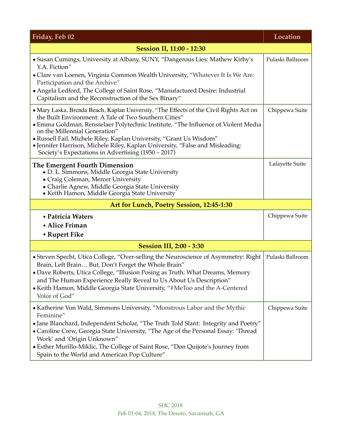| Friday, Feb 02                                                                                                                                                                                                                                                                                                                                                                                                                                                                       | Location         |  |
|--------------------------------------------------------------------------------------------------------------------------------------------------------------------------------------------------------------------------------------------------------------------------------------------------------------------------------------------------------------------------------------------------------------------------------------------------------------------------------------|------------------|--|
| <b>Session II, 11:00 - 12:30</b>                                                                                                                                                                                                                                                                                                                                                                                                                                                     |                  |  |
| • Susan Cumings, University at Albany, SUNY, "Dangerous Lies: Mathew Kirby's<br>Y.A. Fiction"<br>• Clare van Loenen, Virginia Common Wealth University, "Whatever It Is We Are:<br>Participation and the Archive"<br>• Angela Ledford, The College of Saint Rose, "Manufactured Desire: Industrial<br>Capitalism and the Reconstruction of the Sex Binary"                                                                                                                           | Pulaski Ballroom |  |
| • Mary Laska, Brenda Beach, Kaplan University, "The Effects of the Civil Rights Act on<br>the Built Environment: A Tale of Two Southern Cities"<br>• Emma Goldman, Rensselaer Polytechnic Institute, "The Influence of Violent Media<br>on the Millennial Generation"<br>• Russell Fail, Michele Riley, Kaplan University, "Grant Us Wisdom"<br>• Jennifer Harrison, Michele Riley, Kaplan University, "False and Misleading:<br>Society's Expectations in Advertising (1950 – 2017) | Chippewa Suite   |  |
| The Emergent Fourth Dimension<br>• D. L. Simmons, Middle Georgia State University<br>• Craig Coleman, Mercer University<br>• Charlie Agnew, Middle Georgia State University<br>• Keith Hamon, Middle Georgia State University                                                                                                                                                                                                                                                        | Lafayette Suite  |  |
| Art for Lunch, Poetry Session, 12:45-1:30                                                                                                                                                                                                                                                                                                                                                                                                                                            |                  |  |
| • Patricia Waters<br>• Alice Friman<br>• Rupert Fike                                                                                                                                                                                                                                                                                                                                                                                                                                 | Chippewa Suite   |  |
| <b>Session III, 2:00 - 3:30</b>                                                                                                                                                                                                                                                                                                                                                                                                                                                      |                  |  |
| • Steven Specht, Utica College, "Over-selling the Neuroscience of Asymmetry: Right<br>Brain, Left Brain But, Don't Forget the Whole Brain"<br>• Dave Roberts, Utica College, "Illusion Posing as Truth: What Dreams, Memory<br>and The Human Experience Really Reveal to Us About Us Description"<br>• Keith Hamon, Middle Georgia State University, "#MeToo and the A-Centered<br>Voice of God"                                                                                     | Pulaski Ballroom |  |
| • Katherine Von Wald, Simmons University, "Monstrous Labor and the Mythic<br>Feminine"<br>• Jane Blanchard, Independent Scholar, "The Truth Told Slant: Integrity and Poetry"<br>• Caroline Crew, Georgia State University, "The Age of the Personal Essay: 'Thread<br>Work' and 'Origin Unknown"<br>• Esther Murillo-Miklic, The College of Saint Rose, "Don Quijote's Journey from<br>Spain to the World and American Pop Culture"                                                 | Chippewa Suite   |  |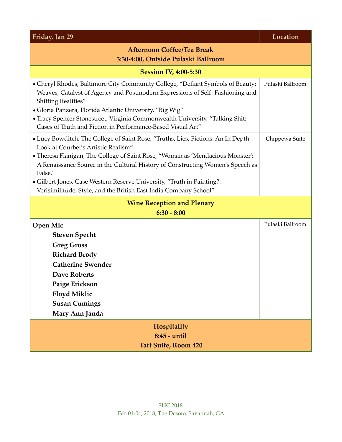| Friday, Jan 29                                                                                                                                                                                                                                                                                                                                                                                                                                        | Location         |  |
|-------------------------------------------------------------------------------------------------------------------------------------------------------------------------------------------------------------------------------------------------------------------------------------------------------------------------------------------------------------------------------------------------------------------------------------------------------|------------------|--|
| <b>Afternoon Coffee/Tea Break</b><br>3:30-4:00, Outside Pulaski Ballroom                                                                                                                                                                                                                                                                                                                                                                              |                  |  |
| <b>Session IV, 4:00-5:30</b>                                                                                                                                                                                                                                                                                                                                                                                                                          |                  |  |
| • Cheryl Rhodes, Baltimore City Community College, "Defiant Symbols of Beauty:<br>Weaves, Catalyst of Agency and Postmodern Expressions of Self-Fashioning and<br><b>Shifting Realities"</b><br>• Gloria Panzera, Florida Atlantic University, "Big Wig"<br>• Tracy Spencer Stonestreet, Virginia Commonwealth University, "Talking Shit:<br>Cases of Truth and Fiction in Performance-Based Visual Art"                                              | Pulaski Ballroom |  |
| • Lucy Bowditch, The College of Saint Rose, "Truths, Lies, Fictions: An In Depth<br>Look at Courbet's Artistic Realism"<br>• Theresa Flanigan, The College of Saint Rose, "Woman as 'Mendacious Monster':<br>A Renaissance Source in the Cultural History of Constructing Women's Speech as<br>False."<br>• Gilbert Jones, Case Western Reserve University, "Truth in Painting?:<br>Verisimilitude, Style, and the British East India Company School" | Chippewa Suite   |  |
| <b>Wine Reception and Plenary</b>                                                                                                                                                                                                                                                                                                                                                                                                                     |                  |  |
| $6:30 - 8:00$                                                                                                                                                                                                                                                                                                                                                                                                                                         |                  |  |
| <b>Open Mic</b><br><b>Steven Specht</b><br><b>Greg Gross</b><br><b>Richard Brody</b><br><b>Catherine Swender</b><br><b>Dave Roberts</b><br>Paige Erickson<br><b>Floyd Miklic</b><br><b>Susan Cumings</b><br>Mary Ann Janda                                                                                                                                                                                                                            | Pulaski Ballroom |  |
| Hospitality<br>8:45 - until<br><b>Taft Suite, Room 420</b>                                                                                                                                                                                                                                                                                                                                                                                            |                  |  |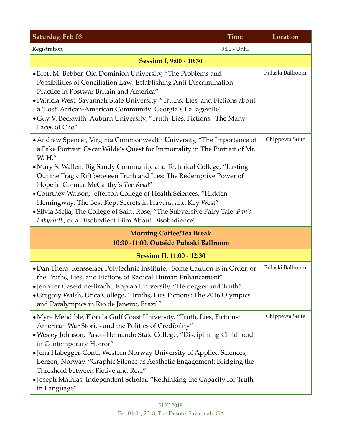| Saturday, Feb 03                                                                                                                                                                                                                                                                                                                                                                                                                                                                                                                                                                                                               | <b>Time</b>  | Location         |
|--------------------------------------------------------------------------------------------------------------------------------------------------------------------------------------------------------------------------------------------------------------------------------------------------------------------------------------------------------------------------------------------------------------------------------------------------------------------------------------------------------------------------------------------------------------------------------------------------------------------------------|--------------|------------------|
| Registration                                                                                                                                                                                                                                                                                                                                                                                                                                                                                                                                                                                                                   | 9:00 - Until |                  |
| <b>Session I, 9:00 - 10:30</b>                                                                                                                                                                                                                                                                                                                                                                                                                                                                                                                                                                                                 |              |                  |
| • Brett M. Bebber, Old Dominion University, "The Problems and<br>Possibilities of Conciliation Law: Establishing Anti-Discrimination<br>Practice in Postwar Britain and America"<br>• Patricia West, Savannah State University, "Truths, Lies, and Fictions about<br>a 'Lost' African-American Community: Georgia's LePageville"<br>• Guy V. Beckwith, Auburn University, "Truth, Lies, Fictions: The Many<br>Faces of Clio"                                                                                                                                                                                                   |              | Pulaski Ballroom |
| • Andrew Spencer, Virginia Commonwealth University, "The Importance of<br>a Fake Portrait: Oscar Wilde's Quest for Immortality in The Portrait of Mr.<br>W. H."<br>• Mary S. Wallen, Big Sandy Community and Technical College, "Lasting<br>Out the Tragic Rift between Truth and Lies: The Redemptive Power of<br>Hope in Cormac McCarthy's The Road"<br>• Courtney Watson, Jefferson College of Health Sciences, "Hidden<br>Hemingway: The Best Kept Secrets in Havana and Key West"<br>· Silvia Mejía, The College of Saint Rose, "The Subversive Fairy Tale: Pan's<br>Labyrinth, or a Disobedient Film About Disobedience" |              | Chippewa Suite   |
| <b>Morning Coffee/Tea Break</b><br>10:30 -11:00, Outside Pulaski Ballroom                                                                                                                                                                                                                                                                                                                                                                                                                                                                                                                                                      |              |                  |
| <b>Session II, 11:00 - 12:30</b>                                                                                                                                                                                                                                                                                                                                                                                                                                                                                                                                                                                               |              |                  |
| · Dan Thero, Rensselaer Polytechnic Institute, "Some Caution is in Order, or<br>the Truths, Lies, and Fictions of Radical Human Enhancement"<br>•Jennifer Caseldine-Bracht, Kaplan University, "Heidegger and Truth"<br>· Gregory Walsh, Utica College, "Truths, Lies Fictions: The 2016 Olympics<br>and Paralympics in Rio de Janeiro, Brazil"                                                                                                                                                                                                                                                                                |              | Pulaski Ballroom |
| • Myra Mendible, Florida Gulf Coast University, "Truth, Lies, Fictions:<br>American War Stories and the Politics of Credibility"<br>· Wesley Johnson, Pasco-Hernando State College, "Disciplining Childhood<br>in Contemporary Horror"<br>• Jena Habegger-Conti, Western Norway University of Applied Sciences,<br>Bergen, Norway, "Graphic Silence as Aesthetic Engagement: Bridging the<br>Threshold between Fictive and Real"<br>• Joseph Mathias, Independent Scholar, "Rethinking the Capacity for Truth<br>in Language"                                                                                                  |              | Chippewa Suite   |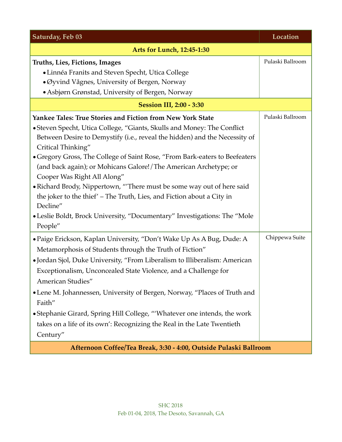| Saturday, Feb 03                                                            | Location         |
|-----------------------------------------------------------------------------|------------------|
| <b>Arts for Lunch, 12:45-1:30</b>                                           |                  |
| Truths, Lies, Fictions, Images                                              | Pulaski Ballroom |
| • Linnéa Franits and Steven Specht, Utica College                           |                  |
| • Øyvind Vågnes, University of Bergen, Norway                               |                  |
| • Asbjørn Grønstad, University of Bergen, Norway                            |                  |
| <b>Session III, 2:00 - 3:30</b>                                             |                  |
| <b>Yankee Tales: True Stories and Fiction from New York State</b>           | Pulaski Ballroom |
| • Steven Specht, Utica College, "Giants, Skulls and Money: The Conflict     |                  |
| Between Desire to Demystify (i.e., reveal the hidden) and the Necessity of  |                  |
| Critical Thinking"                                                          |                  |
| • Gregory Gross, The College of Saint Rose, "From Bark-eaters to Beefeaters |                  |
| (and back again); or Mohicans Galore!/The American Archetype; or            |                  |
| Cooper Was Right All Along"                                                 |                  |
| • Richard Brody, Nippertown, "There must be some way out of here said       |                  |
| the joker to the thief' – The Truth, Lies, and Fiction about a City in      |                  |
| Decline"                                                                    |                  |
| • Leslie Boldt, Brock University, "Documentary" Investigations: The "Mole   |                  |
| People"                                                                     |                  |
| • Paige Erickson, Kaplan University, "Don't Wake Up As A Bug, Dude: A       | Chippewa Suite   |
| Metamorphosis of Students through the Truth of Fiction"                     |                  |
| • Jordan Sjol, Duke University, "From Liberalism to Illiberalism: American  |                  |
| Exceptionalism, Unconcealed State Violence, and a Challenge for             |                  |
| American Studies"                                                           |                  |
| • Lene M. Johannessen, University of Bergen, Norway, "Places of Truth and   |                  |
| Faith"                                                                      |                  |
| • Stephanie Girard, Spring Hill College, "'Whatever one intends, the work   |                  |
| takes on a life of its own': Recognizing the Real in the Late Twentieth     |                  |
| Century"                                                                    |                  |
| Afternoon Coffee/Tea Break, 3:30 - 4:00, Outside Pulaski Ballroom           |                  |